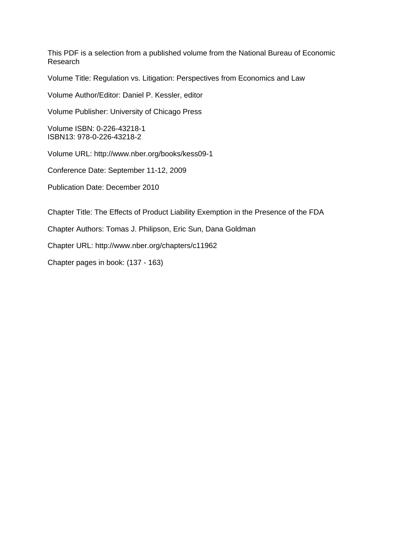This PDF is a selection from a published volume from the National Bureau of Economic Research

Volume Title: Regulation vs. Litigation: Perspectives from Economics and Law

Volume Author/Editor: Daniel P. Kessler, editor

Volume Publisher: University of Chicago Press

Volume ISBN: 0-226-43218-1 ISBN13: 978-0-226-43218-2

Volume URL: http://www.nber.org/books/kess09-1

Conference Date: September 11-12, 2009

Publication Date: December 2010

Chapter Title: The Effects of Product Liability Exemption in the Presence of the FDA

Chapter Authors: Tomas J. Philipson, Eric Sun, Dana Goldman

Chapter URL: http://www.nber.org/chapters/c11962

Chapter pages in book: (137 - 163)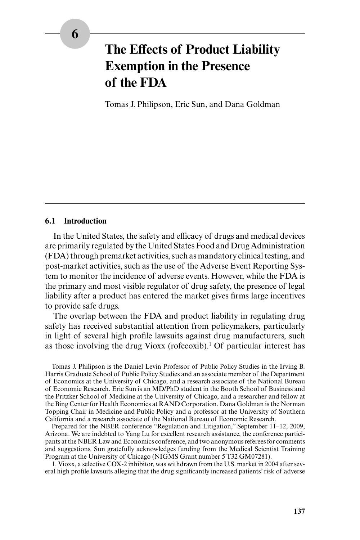# **The Effects of Product Liability Exemption in the Presence of the FDA**

Tomas J. Philipson, Eric Sun, and Dana Goldman

### **6.1 Introduction**

In the United States, the safety and efficacy of drugs and medical devices are primarily regulated by the United States Food and Drug Administration (FDA) through premarket activities, such as mandatory clinical testing, and post- market activities, such as the use of the Adverse Event Reporting System to monitor the incidence of adverse events. However, while the FDA is the primary and most visible regulator of drug safety, the presence of legal liability after a product has entered the market gives firms large incentives to provide safe drugs.

The overlap between the FDA and product liability in regulating drug safety has received substantial attention from policymakers, particularly in light of several high profile lawsuits against drug manufacturers, such as those involving the drug Vioxx (rofecoxib).<sup>1</sup> Of particular interest has

Tomas J. Philipson is the Daniel Levin Professor of Public Policy Studies in the Irving B. Harris Graduate School of Public Policy Studies and an associate member of the Department of Economics at the University of Chicago, and a research associate of the National Bureau of Economic Research. Eric Sun is an MD/ PhD student in the Booth School of Business and the Pritzker School of Medicine at the University of Chicago, and a researcher and fellow at the Bing Center for Health Economics at RAND Corporation. Dana Goldman is the Norman Topping Chair in Medicine and Public Policy and a professor at the University of Southern California and a research associate of the National Bureau of Economic Research.

Prepared for the NBER conference "Regulation and Litigation," September 11–12, 2009, Arizona. We are indebted to Yang Lu for excellent research assistance, the conference participants at the NBER Law and Economics conference, and two anonymous referees for comments and suggestions. Sun gratefully acknowledges funding from the Medical Scientist Training Program at the University of Chicago (NIGMS Grant number 5 T32 GM07281).

1. Vioxx, a selective COX-2 inhibitor, was withdrawn from the U.S. market in 2004 after several high profile lawsuits alleging that the drug significantly increased patients' risk of adverse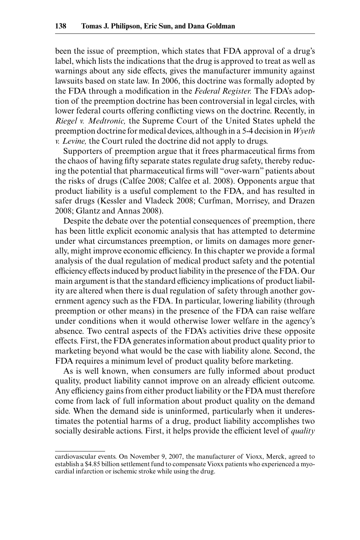been the issue of preemption, which states that FDA approval of a drug's label, which lists the indications that the drug is approved to treat as well as warnings about any side effects, gives the manufacturer immunity against lawsuits based on state law. In 2006, this doctrine was formally adopted by the FDA through a modification in the *Federal Register*. The FDA's adoption of the preemption doctrine has been controversial in legal circles, with lower federal courts offering conflicting views on the doctrine. Recently, in *Riegel v. Medtronic,* the Supreme Court of the United States upheld the preemption doctrine for medical devices, although in a 5-4 decision in *Wyeth v. Levine,* the Court ruled the doctrine did not apply to drugs.

Supporters of preemption argue that it frees pharmaceutical firms from the chaos of having fifty separate states regulate drug safety, thereby reducing the potential that pharmaceutical firms will "over-warn" patients about the risks of drugs (Calfee 2008; Calfee et al. 2008). Opponents argue that product liability is a useful complement to the FDA, and has resulted in safer drugs (Kessler and Vladeck 2008; Curfman, Morrisey, and Drazen 2008; Glantz and Annas 2008).

Despite the debate over the potential consequences of preemption, there has been little explicit economic analysis that has attempted to determine under what circumstances preemption, or limits on damages more generally, might improve economic efficiency. In this chapter we provide a formal analysis of the dual regulation of medical product safety and the potential efficiency effects induced by product liability in the presence of the FDA. Our main argument is that the standard efficiency implications of product liability are altered when there is dual regulation of safety through another government agency such as the FDA. In particular, lowering liability (through preemption or other means) in the presence of the FDA can raise welfare under conditions when it would otherwise lower welfare in the agency's absence. Two central aspects of the FDA's activities drive these opposite effects. First, the FDA generates information about product quality prior to marketing beyond what would be the case with liability alone. Second, the FDA requires a minimum level of product quality before marketing.

As is well known, when consumers are fully informed about product quality, product liability cannot improve on an already efficient outcome. Any efficiency gains from either product liability or the FDA must therefore come from lack of full information about product quality on the demand side. When the demand side is uninformed, particularly when it underestimates the potential harms of a drug, product liability accomplishes two socially desirable actions. First, it helps provide the efficient level of *quality*

cardiovascular events. On November 9, 2007, the manufacturer of Vioxx, Merck, agreed to establish a \$4.85 billion settlement fund to compensate Vioxx patients who experienced a myocardial infarction or ischemic stroke while using the drug.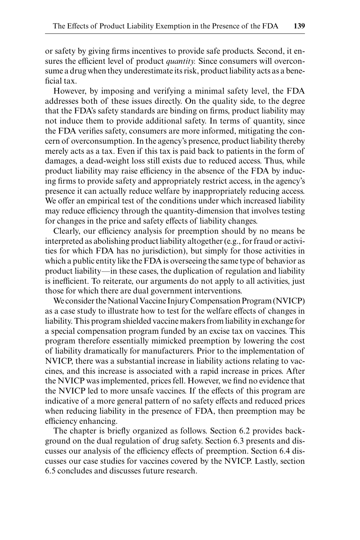or safety by giving firms incentives to provide safe products. Second, it ensures the efficient level of product *quantity.* Since consumers will overconsume a drug when they underestimate its risk, product liability acts as a beneficial tax.

However, by imposing and verifying a minimal safety level, the FDA addresses both of these issues directly. On the quality side, to the degree that the FDA's safety standards are binding on firms, product liability may not induce them to provide additional safety. In terms of quantity, since the FDA verifies safety, consumers are more informed, mitigating the concern of overconsumption. In the agency's presence, product liability thereby merely acts as a tax. Even if this tax is paid back to patients in the form of damages, a dead- weight loss still exists due to reduced access. Thus, while product liability may raise efficiency in the absence of the FDA by inducing firms to provide safety and appropriately restrict access, in the agency's presence it can actually reduce welfare by inappropriately reducing access. We offer an empirical test of the conditions under which increased liability may reduce efficiency through the quantity- dimension that involves testing for changes in the price and safety effects of liability changes.

Clearly, our efficiency analysis for preemption should by no means be interpreted as abolishing product liability altogether (e.g., for fraud or activities for which FDA has no jurisdiction), but simply for those activities in which a public entity like the FDA is overseeing the same type of behavior as product liability—in these cases, the duplication of regulation and liability is inefficient. To reiterate, our arguments do not apply to all activities, just those for which there are dual government interventions.

We consider the National Vaccine Injury Compensation Program (NVICP) as a case study to illustrate how to test for the welfare effects of changes in liability. This program shielded vaccine makers from liability in exchange for a special compensation program funded by an excise tax on vaccines. This program therefore essentially mimicked preemption by lowering the cost of liability dramatically for manufacturers. Prior to the implementation of NVICP, there was a substantial increase in liability actions relating to vaccines, and this increase is associated with a rapid increase in prices. After the NVICP was implemented, prices fell. However, we find no evidence that the NVICP led to more unsafe vaccines. If the effects of this program are indicative of a more general pattern of no safety effects and reduced prices when reducing liability in the presence of FDA, then preemption may be efficiency enhancing.

The chapter is briefly organized as follows. Section 6.2 provides background on the dual regulation of drug safety. Section 6.3 presents and discusses our analysis of the efficiency effects of preemption. Section 6.4 discusses our case studies for vaccines covered by the NVICP. Lastly, section 6.5 concludes and discusses future research.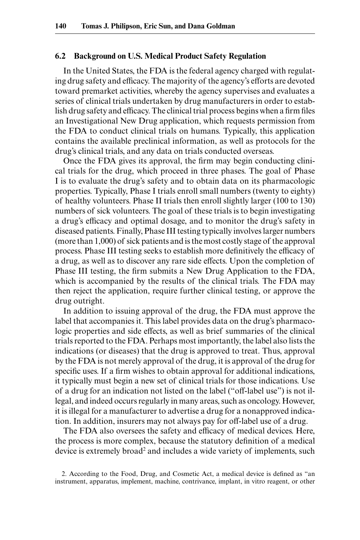#### **6.2 Background on U.S. Medical Product Safety Regulation**

In the United States, the FDA is the federal agency charged with regulating drug safety and efficacy. The majority of the agency's efforts are devoted toward premarket activities, whereby the agency supervises and evaluates a series of clinical trials undertaken by drug manufacturers in order to establish drug safety and efficacy. The clinical trial process begins when a firm files an Investigational New Drug application, which requests permission from the FDA to conduct clinical trials on humans. Typically, this application contains the available preclinical information, as well as protocols for the drug's clinical trials, and any data on trials conducted overseas.

Once the FDA gives its approval, the firm may begin conducting clinical trials for the drug, which proceed in three phases. The goal of Phase I is to evaluate the drug's safety and to obtain data on its pharmacologic properties. Typically, Phase I trials enroll small numbers (twenty to eighty) of healthy volunteers. Phase II trials then enroll slightly larger (100 to 130) numbers of sick volunteers. The goal of these trials is to begin investigating a drug's efficacy and optimal dosage, and to monitor the drug's safety in diseased patients. Finally, Phase III testing typically involves larger numbers (more than 1,000) of sick patients and is the most costly stage of the approval process. Phase III testing seeks to establish more definitively the efficacy of a drug, as well as to discover any rare side effects. Upon the completion of Phase III testing, the firm submits a New Drug Application to the FDA, which is accompanied by the results of the clinical trials. The FDA may then reject the application, require further clinical testing, or approve the drug outright.

In addition to issuing approval of the drug, the FDA must approve the label that accompanies it. This label provides data on the drug's pharmacologic properties and side effects, as well as brief summaries of the clinical trials reported to the FDA. Perhaps most importantly, the label also lists the indications (or diseases) that the drug is approved to treat. Thus, approval by the FDA is not merely approval of the drug, it is approval of the drug for specific uses. If a firm wishes to obtain approval for additional indications, it typically must begin a new set of clinical trials for those indications. Use of a drug for an indication not listed on the label ("off- label use") is not illegal, and indeed occurs regularly in many areas, such as oncology. However, it is illegal for a manufacturer to advertise a drug for a nonapproved indication. In addition, insurers may not always pay for off- label use of a drug.

The FDA also oversees the safety and efficacy of medical devices. Here, the process is more complex, because the statutory definition of a medical device is extremely broad<sup>2</sup> and includes a wide variety of implements, such

<sup>2.</sup> According to the Food, Drug, and Cosmetic Act, a medical device is defined as "an instrument, apparatus, implement, machine, contrivance, implant, in vitro reagent, or other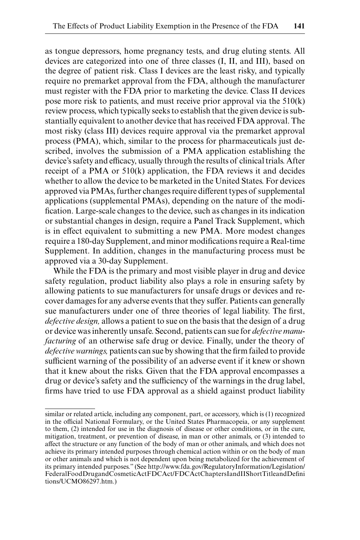as tongue depressors, home pregnancy tests, and drug eluting stents. All devices are categorized into one of three classes (I, II, and III), based on the degree of patient risk. Class I devices are the least risky, and typically require no premarket approval from the FDA, although the manufacturer must register with the FDA prior to marketing the device. Class II devices pose more risk to patients, and must receive prior approval via the 510(k) review process, which typically seeks to establish that the given device is substantially equivalent to another device that has received FDA approval. The most risky (class III) devices require approval via the premarket approval process (PMA), which, similar to the process for pharmaceuticals just described, involves the submission of a PMA application establishing the device's safety and efficacy, usually through the results of clinical trials. After receipt of a PMA or 510(k) application, the FDA reviews it and decides whether to allow the device to be marketed in the United States. For devices approved via PMAs, further changes require different types of supplemental applications (supplemental PMAs), depending on the nature of the modification. Large-scale changes to the device, such as changes in its indication or substantial changes in design, require a Panel Track Supplement, which is in effect equivalent to submitting a new PMA. More modest changes require a 180-day Supplement, and minor modifications require a Real-time Supplement. In addition, changes in the manufacturing process must be approved via a 30-day Supplement.

While the FDA is the primary and most visible player in drug and device safety regulation, product liability also plays a role in ensuring safety by allowing patients to sue manufacturers for unsafe drugs or devices and recover damages for any adverse events that they suffer. Patients can generally sue manufacturers under one of three theories of legal liability. The first, *defective design,* allows a patient to sue on the basis that the design of a drug or device was inherently unsafe. Second, patients can sue for *defective manufacturing* of an otherwise safe drug or device. Finally, under the theory of *defective warnings, patients can sue by showing that the firm failed to provide* sufficient warning of the possibility of an adverse event if it knew or shown that it knew about the risks. Given that the FDA approval encompasses a drug or device's safety and the sufficiency of the warnings in the drug label, firms have tried to use FDA approval as a shield against product liability

similar or related article, including any component, part, or accessory, which is (1) recognized in the official National Formulary, or the United States Pharmacopeia, or any supplement to them, (2) intended for use in the diagnosis of disease or other conditions, or in the cure, mitigation, treatment, or prevention of disease, in man or other animals, or (3) intended to affect the structure or any function of the body of man or other animals, and which does not achieve its primary intended purposes through chemical action within or on the body of man or other animals and which is not dependent upon being metabolized for the achievement of its primary intended purposes." (See http://www.fda.gov/RegulatoryInformation/Legislation/ FederalFoodDrugandCosmeticActFDCAct/FDCActChaptersIandIIShortTitleandDefini tions/ UCMO 86297.htm.)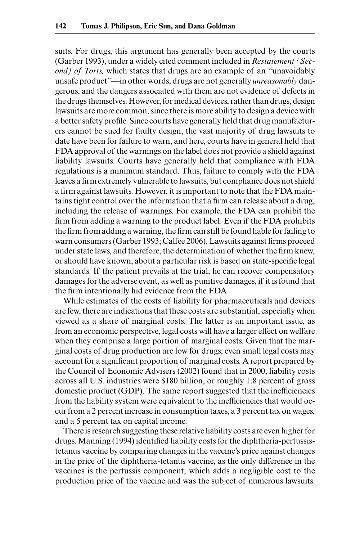suits. For drugs, this argument has generally been accepted by the courts (Garber 1993), under a widely cited comment included in *Restatement (Second) of Torts,* which states that drugs are an example of an "unavoidably unsafe product"—in other words, drugs are not generally *unreasonably* dangerous, and the dangers associated with them are not evidence of defects in the drugs themselves. However, for medical devices, rather than drugs, design lawsuits are more common, since there is more ability to design a device with a better safety profile. Since courts have generally held that drug manufacturers cannot be sued for faulty design, the vast majority of drug lawsuits to date have been for failure to warn, and here, courts have in general held that FDA approval of the warnings on the label does not provide a shield against liability lawsuits. Courts have generally held that compliance with FDA regulations is a minimum standard. Thus, failure to comply with the FDA leaves a firm extremely vulnerable to lawsuits, but compliance does not shield a firm against lawsuits. However, it is important to note that the FDA maintains tight control over the information that a firm can release about a drug, including the release of warnings. For example, the FDA can prohibit the firm from adding a warning to the product label. Even if the FDA prohibits the firm from adding a warning, the firm can still be found liable for failing to warn consumers (Garber 1993; Calfee 2006). Lawsuits against firms proceed under state laws, and therefore, the determination of whether the firm knew, or should have known, about a particular risk is based on state-specific legal standards. If the patient prevails at the trial, he can recover compensatory damages for the adverse event, as well as punitive damages, if it is found that the firm intentionally hid evidence from the FDA.

While estimates of the costs of liability for pharmaceuticals and devices are few, there are indications that these costs are substantial, especially when viewed as a share of marginal costs. The latter is an important issue, as from an economic perspective, legal costs will have a larger effect on welfare when they comprise a large portion of marginal costs. Given that the marginal costs of drug production are low for drugs, even small legal costs may account for a significant proportion of marginal costs. A report prepared by the Council of Economic Advisers (2002) found that in 2000, liability costs across all U.S. industries were \$180 billion, or roughly 1.8 percent of gross domestic product (GDP). The same report suggested that the inefficiencies from the liability system were equivalent to the inefficiencies that would occur from a 2 percent increase in consumption taxes, a 3 percent tax on wages, and a 5 percent tax on capital income.

There is research suggesting these relative liability costs are even higher for drugs. Manning (1994) identified liability costs for the diphtheria-pertussis tetanus vaccine by comparing changes in the vaccine's price against changes in the price of the diphtheria- tetanus vaccine, as the only difference in the vaccines is the pertussis component, which adds a negligible cost to the production price of the vaccine and was the subject of numerous lawsuits.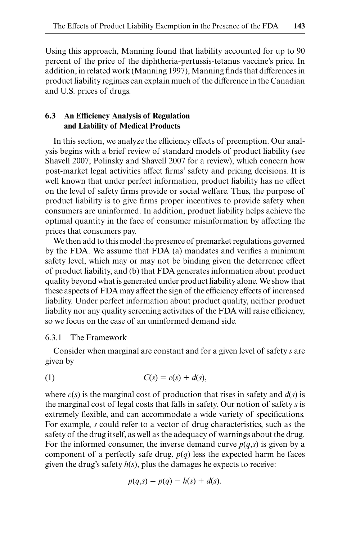Using this approach, Manning found that liability accounted for up to 90 percent of the price of the diphtheria- pertussis- tetanus vaccine's price. In addition, in related work (Manning 1997), Manning finds that differences in product liability regimes can explain much of the difference in the Canadian and U.S. prices of drugs.

## **6.3 An Efficiency Analysis of Regulation and Liability of Medical Products**

In this section, we analyze the efficiency effects of preemption. Our analysis begins with a brief review of standard models of product liability (see Shavell 2007; Polinsky and Shavell 2007 for a review), which concern how post-market legal activities affect firms' safety and pricing decisions. It is well known that under perfect information, product liability has no effect on the level of safety firms provide or social welfare. Thus, the purpose of product liability is to give firms proper incentives to provide safety when consumers are uninformed. In addition, product liability helps achieve the optimal quantity in the face of consumer misinformation by affecting the prices that consumers pay.

We then add to this model the presence of premarket regulations governed by the FDA. We assume that FDA  $(a)$  mandates and verifies a minimum safety level, which may or may not be binding given the deterrence effect of product liability, and (b) that FDA generates information about product quality beyond what is generated under product liability alone. We show that these aspects of FDA may affect the sign of the efficiency effects of increased liability. Under perfect information about product quality, neither product liability nor any quality screening activities of the FDA will raise efficiency, so we focus on the case of an uninformed demand side.

### 6.3.1 The Framework

Consider when marginal are constant and for a given level of safety *s* are given by

$$
C(s) = c(s) + d(s),
$$

where  $c(s)$  is the marginal cost of production that rises in safety and  $d(s)$  is the marginal cost of legal costs that falls in safety. Our notion of safety *s* is extremely flexible, and can accommodate a wide variety of specifications. For example, *s* could refer to a vector of drug characteristics, such as the safety of the drug itself, as well as the adequacy of warnings about the drug. For the informed consumer, the inverse demand curve  $p(q,s)$  is given by a component of a perfectly safe drug,  $p(q)$  less the expected harm he faces given the drug's safety *h*(*s*), plus the damages he expects to receive:

$$
p(q,s) = p(q) - h(s) + d(s).
$$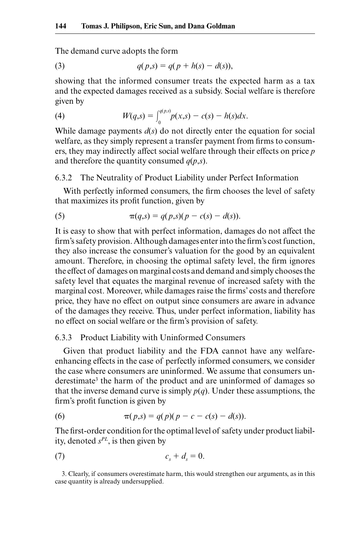The demand curve adopts the form

(3) 
$$
q(p,s) = q(p + h(s) - d(s)),
$$

showing that the informed consumer treats the expected harm as a tax and the expected damages received as a subsidy. Social welfare is therefore given by

(4) 
$$
W(q,s) = \int_0^{q(p,s)} p(x,s) - c(s) - h(s) dx.
$$

While damage payments *d*(*s*) do not directly enter the equation for social welfare, as they simply represent a transfer payment from firms to consumers, they may indirectly affect social welfare through their effects on price *p* and therefore the quantity consumed  $q(p,s)$ .

#### 6.3.2 The Neutrality of Product Liability under Perfect Information

With perfectly informed consumers, the firm chooses the level of safety that maximizes its profit function, given by

(5) 
$$
\pi(q,s) = q(p,s)(p - c(s) - d(s)).
$$

It is easy to show that with perfect information, damages do not affect the firm's safety provision. Although damages enter into the firm's cost function, they also increase the consumer's valuation for the good by an equivalent amount. Therefore, in choosing the optimal safety level, the firm ignores the effect of damages on marginal costs and demand and simply chooses the safety level that equates the marginal revenue of increased safety with the marginal cost. Moreover, while damages raise the firms' costs and therefore price, they have no effect on output since consumers are aware in advance of the damages they receive. Thus, under perfect information, liability has no effect on social welfare or the firm's provision of safety.

#### 6.3.3 Product Liability with Uninformed Consumers

Given that product liability and the FDA cannot have any welfare enhancing effects in the case of perfectly informed consumers, we consider the case where consumers are uninformed. We assume that consumers underestimate<sup>3</sup> the harm of the product and are uninformed of damages so that the inverse demand curve is simply  $p(q)$ . Under these assumptions, the firm's profit function is given by

(6) 
$$
\pi(p,s) = q(p)(p - c - c(s) - d(s)).
$$

The first-order condition for the optimal level of safety under product liability, denoted  $s^{PL}$ , is then given by

$$
c_s + d_s = 0.
$$

3. Clearly, if consumers overestimate harm, this would strengthen our arguments, as in this case quantity is already undersupplied.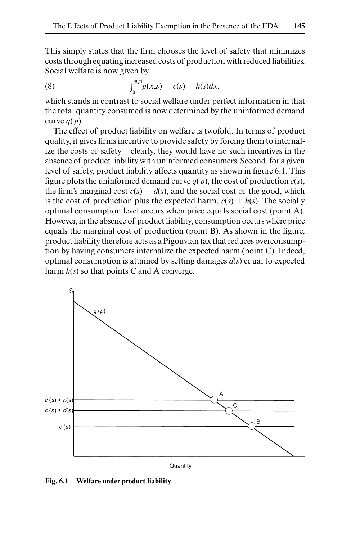This simply states that the firm chooses the level of safety that minimizes costs through equating increased costs of production with reduced liabilities. Social welfare is now given by

(8) 
$$
\int_0^{q(p)} p(x,s) - c(s) - h(s) dx,
$$

which stands in contrast to social welfare under perfect information in that the total quantity consumed is now determined by the uninformed demand curve  $q(p)$ .

The effect of product liability on welfare is twofold. In terms of product quality, it gives firms incentive to provide safety by forcing them to internalize the costs of safety—clearly, they would have no such incentives in the absence of product liability with uninformed consumers. Second, for a given level of safety, product liability affects quantity as shown in figure 6.1. This figure plots the uninformed demand curve  $q(p)$ , the cost of production  $c(s)$ , the firm's marginal cost  $c(s) + d(s)$ , and the social cost of the good, which is the cost of production plus the expected harm,  $c(s) + h(s)$ . The socially optimal consumption level occurs when price equals social cost (point A). However, in the absence of product liability, consumption occurs where price equals the marginal cost of production (point B). As shown in the figure, product liability therefore acts as a Pigouvian tax that reduces overconsumption by having consumers internalize the expected harm (point C). Indeed, optimal consumption is attained by setting damages *d*(*s*) equal to expected harm  $h(s)$  so that points C and A converge.



**Fig. 6.1 Welfare under product liability**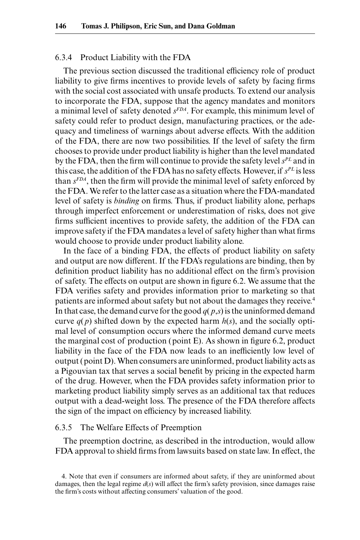#### 6.3.4 Product Liability with the FDA

The previous section discussed the traditional efficiency role of product liability to give firms incentives to provide levels of safety by facing firms with the social cost associated with unsafe products. To extend our analysis to incorporate the FDA, suppose that the agency mandates and monitors a minimal level of safety denoted *sFDA*. For example, this minimum level of safety could refer to product design, manufacturing practices, or the adequacy and timeliness of warnings about adverse effects. With the addition of the FDA, there are now two possibilities. If the level of safety the firm chooses to provide under product liability is higher than the level mandated by the FDA, then the firm will continue to provide the safety level  $s^{PL}$  and in this case, the addition of the FDA has no safety effects. However, if *sPL* is less than  $s<sup>FDA</sup>$ , then the firm will provide the minimal level of safety enforced by the FDA. We refer to the latter case as a situation where the FDA- mandated level of safety is *binding* on firms. Thus, if product liability alone, perhaps through imperfect enforcement or underestimation of risks, does not give firms sufficient incentives to provide safety, the addition of the FDA can improve safety if the FDA mandates a level of safety higher than what firms would choose to provide under product liability alone.

In the face of a binding FDA, the effects of product liability on safety and output are now different. If the FDA's regulations are binding, then by definition product liability has no additional effect on the firm's provision of safety. The effects on output are shown in figure 6.2. We assume that the FDA verifies safety and provides information prior to marketing so that patients are informed about safety but not about the damages they receive.4 In that case, the demand curve for the good *q*( *p*,*s*) is the uninformed demand curve  $q(p)$  shifted down by the expected harm  $h(s)$ , and the socially optimal level of consumption occurs where the informed demand curve meets the marginal cost of production (point  $E$ ). As shown in figure 6.2, product liability in the face of the FDA now leads to an inefficiently low level of output (point D). When consumers are uninformed, product liability acts as a Pigouvian tax that serves a social benefit by pricing in the expected harm of the drug. However, when the FDA provides safety information prior to marketing product liability simply serves as an additional tax that reduces output with a dead- weight loss. The presence of the FDA therefore affects the sign of the impact on efficiency by increased liability.

#### 6.3.5 The Welfare Effects of Preemption

The preemption doctrine, as described in the introduction, would allow FDA approval to shield firms from lawsuits based on state law. In effect, the

<sup>4.</sup> Note that even if consumers are informed about safety, if they are uninformed about damages, then the legal regime  $d(s)$  will affect the firm's safety provision, since damages raise the firm's costs without affecting consumers' valuation of the good.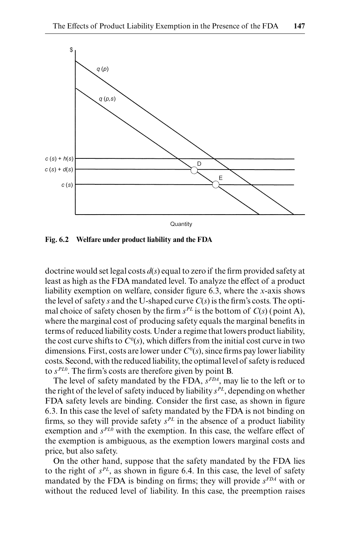

**Fig. 6.2 Welfare under product liability and the FDA**

doctrine would set legal costs  $d(s)$  equal to zero if the firm provided safety at least as high as the FDA mandated level. To analyze the effect of a product liability exemption on welfare, consider figure 6.3, where the *x*-axis shows the level of safety *s* and the U-shaped curve  $C(s)$  is the firm's costs. The optimal choice of safety chosen by the firm  $s^{PL}$  is the bottom of  $C(s)$  (point A), where the marginal cost of producing safety equals the marginal benefits in terms of reduced liability costs. Under a regime that lowers product liability, the cost curve shifts to  $C^0(s)$ , which differs from the initial cost curve in two dimensions. First, costs are lower under  $C^0(s)$ , since firms pay lower liability costs. Second, with the reduced liability, the optimal level of safety is reduced to  $s^{PL0}$ . The firm's costs are therefore given by point B.

The level of safety mandated by the FDA, *sFDA*, may lie to the left or to the right of the level of safety induced by liability *sPL*, depending on whether FDA safety levels are binding. Consider the first case, as shown in figure 6.3. In this case the level of safety mandated by the FDA is not binding on firms, so they will provide safety  $s^{PL}$  in the absence of a product liability exemption and  $s^{PL0}$  with the exemption. In this case, the welfare effect of the exemption is ambiguous, as the exemption lowers marginal costs and price, but also safety.

On the other hand, suppose that the safety mandated by the FDA lies to the right of  $s^{PL}$ , as shown in figure 6.4. In this case, the level of safety mandated by the FDA is binding on firms; they will provide  $s^{FDA}$  with or without the reduced level of liability. In this case, the preemption raises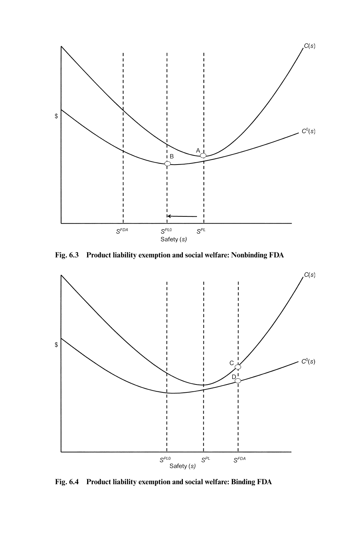

**Fig. 6.3 Product liability exemption and social welfare: Nonbinding FDA**



**Fig. 6.4 Product liability exemption and social welfare: Binding FDA**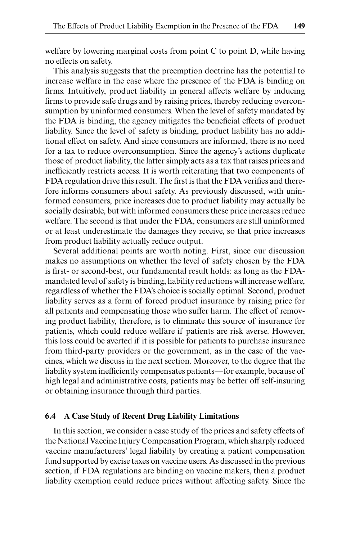welfare by lowering marginal costs from point C to point D, while having no effects on safety.

This analysis suggests that the preemption doctrine has the potential to increase welfare in the case where the presence of the FDA is binding on firms. Intuitively, product liability in general affects welfare by inducing firms to provide safe drugs and by raising prices, thereby reducing overconsumption by uninformed consumers. When the level of safety mandated by the FDA is binding, the agency mitigates the beneficial effects of product liability. Since the level of safety is binding, product liability has no additional effect on safety. And since consumers are informed, there is no need for a tax to reduce overconsumption. Since the agency's actions duplicate those of product liability, the latter simply acts as a tax that raises prices and inefficiently restricts access. It is worth reiterating that two components of FDA regulation drive this result. The first is that the FDA verifies and therefore informs consumers about safety. As previously discussed, with uninformed consumers, price increases due to product liability may actually be socially desirable, but with informed consumers these price increases reduce welfare. The second is that under the FDA, consumers are still uninformed or at least underestimate the damages they receive, so that price increases from product liability actually reduce output.

Several additional points are worth noting. First, since our discussion makes no assumptions on whether the level of safety chosen by the FDA is first- or second-best, our fundamental result holds: as long as the FDA mandated level of safety is binding, liability reductions will increase welfare, regardless of whether the FDA's choice is socially optimal. Second, product liability serves as a form of forced product insurance by raising price for all patients and compensating those who suffer harm. The effect of removing product liability, therefore, is to eliminate this source of insurance for patients, which could reduce welfare if patients are risk averse. However, this loss could be averted if it is possible for patients to purchase insurance from third- party providers or the government, as in the case of the vaccines, which we discuss in the next section. Moreover, to the degree that the liability system inefficiently compensates patients—for example, because of high legal and administrative costs, patients may be better off self-insuring or obtaining insurance through third parties.

#### **6.4 A Case Study of Recent Drug Liability Limitations**

In this section, we consider a case study of the prices and safety effects of the National Vaccine Injury Compensation Program, which sharply reduced vaccine manufacturers' legal liability by creating a patient compensation fund supported by excise taxes on vaccine users. As discussed in the previous section, if FDA regulations are binding on vaccine makers, then a product liability exemption could reduce prices without affecting safety. Since the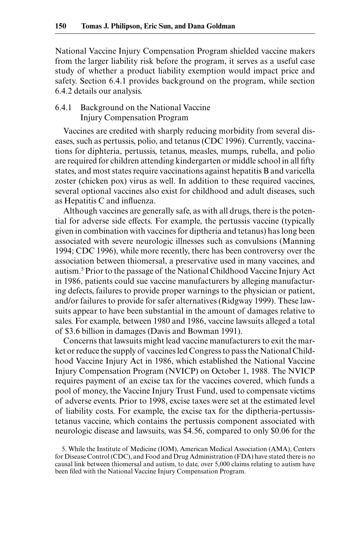National Vaccine Injury Compensation Program shielded vaccine makers from the larger liability risk before the program, it serves as a useful case study of whether a product liability exemption would impact price and safety. Section 6.4.1 provides background on the program, while section 6.4.2 details our analysis.

## 6.4.1 Background on the National Vaccine Injury Compensation Program

Vaccines are credited with sharply reducing morbidity from several diseases, such as pertussis, polio, and tetanus (CDC 1996). Currently, vaccinations for diphteria, pertussis, tetanus, measles, mumps, rubella, and polio are required for children attending kindergarten or middle school in all fifty states, and most states require vaccinations against hepatitis B and varicella zoster (chicken pox) virus as well. In addition to these required vaccines, several optional vaccines also exist for childhood and adult diseases, such as Hepatitis C and influenza.

Although vaccines are generally safe, as with all drugs, there is the potential for adverse side effects. For example, the pertussis vaccine (typically given in combination with vaccines for diptheria and tetanus) has long been associated with severe neurologic illnesses such as convulsions (Manning 1994; CDC 1996), while more recently, there has been controversy over the association between thiomersal, a preservative used in many vaccines, and autism.5 Prior to the passage of the National Childhood Vaccine Injury Act in 1986, patients could sue vaccine manufacturers by alleging manufacturing defects, failures to provide proper warnings to the physician or patient, and/or failures to provide for safer alternatives (Ridgway 1999). These lawsuits appear to have been substantial in the amount of damages relative to sales. For example, between 1980 and 1986, vaccine lawsuits alleged a total of \$3.6 billion in damages (Davis and Bowman 1991).

Concerns that lawsuits might lead vaccine manufacturers to exit the market or reduce the supply of vaccines led Congress to pass the National Childhood Vaccine Injury Act in 1986, which established the National Vaccine Injury Compensation Program (NVICP) on October 1, 1988. The NVICP requires payment of an excise tax for the vaccines covered, which funds a pool of money, the Vaccine Injury Trust Fund, used to compensate victims of adverse events. Prior to 1998, excise taxes were set at the estimated level of liability costs. For example, the excise tax for the diptheria- pertussis tetanus vaccine, which contains the pertussis component associated with neurologic disease and lawsuits, was \$4.56, compared to only \$0.06 for the

<sup>5.</sup> While the Institute of Medicine (IOM), American Medical Association (AMA), Centers for Disease Control (CDC), and Food and Drug Administration (FDA) have stated there is no causal link between thiomersal and autism, to date, over 5,000 claims relating to autism have been filed with the National Vaccine Injury Compensation Program.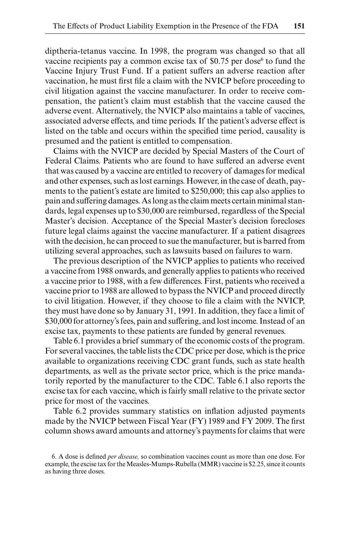diptheria- tetanus vaccine. In 1998, the program was changed so that all vaccine recipients pay a common excise tax of  $$0.75$  per dose<sup>6</sup> to fund the Vaccine Injury Trust Fund. If a patient suffers an adverse reaction after vaccination, he must first file a claim with the NVICP before proceeding to civil litigation against the vaccine manufacturer. In order to receive compensation, the patient's claim must establish that the vaccine caused the adverse event. Alternatively, the NVICP also maintains a table of vaccines, associated adverse effects, and time periods. If the patient's adverse effect is listed on the table and occurs within the specified time period, causality is presumed and the patient is entitled to compensation.

Claims with the NVICP are decided by Special Masters of the Court of Federal Claims. Patients who are found to have suffered an adverse event that was caused by a vaccine are entitled to recovery of damages for medical and other expenses, such as lost earnings. However, in the case of death, payments to the patient's estate are limited to \$250,000; this cap also applies to pain and suffering damages. As long as the claim meets certain minimal standards, legal expenses up to \$30,000 are reimbursed, regardless of the Special Master's decision. Acceptance of the Special Master's decision forecloses future legal claims against the vaccine manufacturer. If a patient disagrees with the decision, he can proceed to sue the manufacturer, but is barred from utilizing several approaches, such as lawsuits based on failures to warn.

The previous description of the NVICP applies to patients who received a vaccine from 1988 onwards, and generally applies to patients who received a vaccine prior to 1988, with a few differences. First, patients who received a vaccine prior to 1988 are allowed to bypass the NVICP and proceed directly to civil litigation. However, if they choose to file a claim with the NVICP, they must have done so by January 31, 1991. In addition, they face a limit of \$30,000 for attorney's fees, pain and suffering, and lost income. Instead of an excise tax, payments to these patients are funded by general revenues.

Table 6.1 provides a brief summary of the economic costs of the program. For several vaccines, the table lists the CDC price per dose, which is the price available to organizations receiving CDC grant funds, such as state health departments, as well as the private sector price, which is the price mandatorily reported by the manufacturer to the CDC. Table 6.1 also reports the excise tax for each vaccine, which is fairly small relative to the private sector price for most of the vaccines.

Table 6.2 provides summary statistics on inflation adjusted payments made by the NVICP between Fiscal Year (FY) 1989 and FY 2009. The first column shows award amounts and attorney's payments for claims that were

<sup>6.</sup> A dose is defi ned *per disease,* so combination vaccines count as more than one dose. For example, the excise tax for the Measles-Mumps-Rubella (MMR) vaccine is \$2.25, since it counts as having three doses.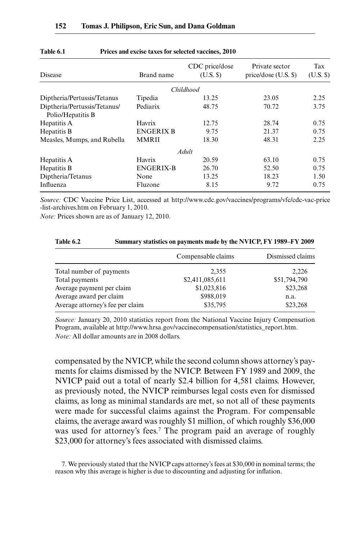| Disease                                           | Brand name       | CDC price/dose<br>(U.S. \$) | Private sector<br>price/dose $(U.S.$ \$) | Tax<br>(U.S. \$) |
|---------------------------------------------------|------------------|-----------------------------|------------------------------------------|------------------|
|                                                   |                  | Childhood                   |                                          |                  |
| Diptheria/Pertussis/Tetanus                       | Tipedia          | 13.25                       | 23.05                                    | 2.25             |
| Diptheria/Pertussis/Tetanus/<br>Polio/Hepatitis B | Pediarix         | 48.75                       | 70.72                                    | 3.75             |
| Hepatitis A                                       | Havrix           | 12.75                       | 28.74                                    | 0.75             |
| Hepatitis B                                       | <b>ENGERIX B</b> | 9.75                        | 21.37                                    | 0.75             |
| Measles, Mumps, and Rubella                       | <b>MMRII</b>     | 18.30                       | 48.31                                    | 2.25             |
|                                                   |                  | <b>Adult</b>                |                                          |                  |
| Hepatitis A                                       | Havrix           | 20.59                       | 63.10                                    | 0.75             |
| Hepatitis B                                       | <b>ENGERIX-B</b> | 26.70                       | 52.50                                    | 0.75             |
| Diptheria/Tetanus                                 | None             | 13.25                       | 18.23                                    | 1.50             |
| Influenza                                         | Fluzone          | 8.15                        | 9.72                                     | 0.75             |

#### **152 Tomas J. Philipson, Eric Sun, and Dana Goldman**

**Table 6.1 Prices and excise taxes for selected vaccines, 2010**

*Source:* CDC Vaccine Price List, accessed at http://www.cdc.gov/vaccines/programs/vfc/cdc- vac- price -list-archives.htm on February 1, 2010.

*Note:* Prices shown are as of January 12, 2010.

| Table 6.2 | Summary statistics on payments made by the NVICP, FY 1989–FY 2009 |  |  |  |
|-----------|-------------------------------------------------------------------|--|--|--|
|-----------|-------------------------------------------------------------------|--|--|--|

|                                  | Compensable claims | Dismissed claims |
|----------------------------------|--------------------|------------------|
| Total number of payments         | 2.355              | 2.226            |
| Total payments                   | \$2,411,085,611    | \$51,794,790     |
| Average payment per claim        | \$1,023,816        | \$23,268         |
| Average award per claim          | \$988,019          | n.a.             |
| Average attorney's fee per claim | \$35,795           | \$23,268         |

*Source:* January 20, 2010 statistics report from the National Vaccine Injury Compensation Program, available at http://www.hrsa.gov/vaccinecompensation/statistics\_report.htm. *Note:* All dollar amounts are in 2008 dollars.

compensated by the NVICP, while the second column shows attorney's payments for claims dismissed by the NVICP. Between FY 1989 and 2009, the NVICP paid out a total of nearly \$2.4 billion for 4,581 claims. However, as previously noted, the NVICP reimburses legal costs even for dismissed claims, as long as minimal standards are met, so not all of these payments were made for successful claims against the Program. For compensable claims, the average award was roughly \$1 million, of which roughly \$36,000 was used for attorney's fees.<sup>7</sup> The program paid an average of roughly \$23,000 for attorney's fees associated with dismissed claims.

7. We previously stated that the NVICP caps attorney's fees at \$30,000 in nominal terms; the reason why this average is higher is due to discounting and adjusting for inflation.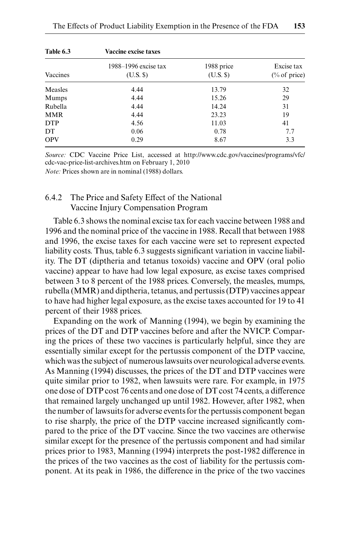| Table 6.3  | Vaccine excise taxes               |                           |                                       |
|------------|------------------------------------|---------------------------|---------------------------------------|
| Vaccines   | 1988–1996 excise tax<br>$(U.S.$ S) | 1988 price<br>$(U.S.$ \$) | Excise tax<br>$\frac{0}{0}$ of price) |
| Measles    | 4.44                               | 13.79                     | 32                                    |
| Mumps      | 4.44                               | 15.26                     | 29                                    |
| Rubella    | 4.44                               | 14.24                     | 31                                    |
| <b>MMR</b> | 4.44                               | 23.23                     | 19                                    |
| <b>DTP</b> | 4.56                               | 11.03                     | 41                                    |
| DT         | 0.06                               | 0.78                      | 7.7                                   |
| <b>OPV</b> | 0.29                               | 8.67                      | 3.3                                   |

*Source:* CDC Vaccine Price List, accessed at http://www.cdc.gov/vaccines/programs/vfc/ cdc- vac- price- list- archives.htm on February 1, 2010

*Note:* Prices shown are in nominal (1988) dollars.

## 6.4.2 The Price and Safety Effect of the National Vaccine Injury Compensation Program

Table 6.3 shows the nominal excise tax for each vaccine between 1988 and 1996 and the nominal price of the vaccine in 1988. Recall that between 1988 and 1996, the excise taxes for each vaccine were set to represent expected liability costs. Thus, table 6.3 suggests significant variation in vaccine liability. The DT (diptheria and tetanus toxoids) vaccine and OPV (oral polio vaccine) appear to have had low legal exposure, as excise taxes comprised between 3 to 8 percent of the 1988 prices. Conversely, the measles, mumps, rubella (MMR) and diptheria, tetanus, and pertussis (DTP) vaccines appear to have had higher legal exposure, as the excise taxes accounted for 19 to 41 percent of their 1988 prices.

Expanding on the work of Manning (1994), we begin by examining the prices of the DT and DTP vaccines before and after the NVICP. Comparing the prices of these two vaccines is particularly helpful, since they are essentially similar except for the pertussis component of the DTP vaccine, which was the subject of numerous lawsuits over neurological adverse events. As Manning (1994) discusses, the prices of the DT and DTP vaccines were quite similar prior to 1982, when lawsuits were rare. For example, in 1975 one dose of DTP cost 76 cents and one dose of DT cost 74 cents, a difference that remained largely unchanged up until 1982. However, after 1982, when the number of lawsuits for adverse events for the pertussis component began to rise sharply, the price of the DTP vaccine increased significantly compared to the price of the DT vaccine. Since the two vaccines are otherwise similar except for the presence of the pertussis component and had similar prices prior to 1983, Manning (1994) interprets the post- 1982 difference in the prices of the two vaccines as the cost of liability for the pertussis component. At its peak in 1986, the difference in the price of the two vaccines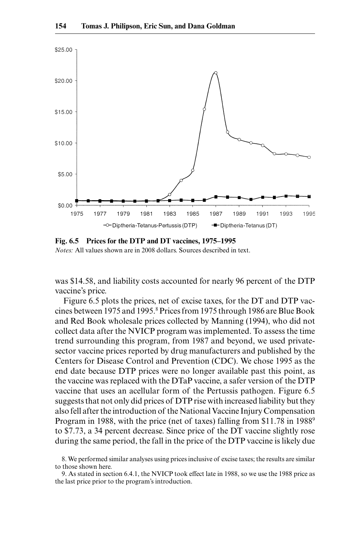

**Fig. 6.5 Prices for the DTP and DT vaccines, 1975– 1995** *Notes:* All values shown are in 2008 dollars. Sources described in text.

was \$14.58, and liability costs accounted for nearly 96 percent of the DTP vaccine's price.

Figure 6.5 plots the prices, net of excise taxes, for the DT and DTP vaccines between 1975 and 1995.8 Prices from 1975 through 1986 are Blue Book and Red Book wholesale prices collected by Manning (1994), who did not collect data after the NVICP program was implemented. To assess the time trend surrounding this program, from 1987 and beyond, we used private sector vaccine prices reported by drug manufacturers and published by the Centers for Disease Control and Prevention (CDC). We chose 1995 as the end date because DTP prices were no longer available past this point, as the vaccine was replaced with the DTaP vaccine, a safer version of the DTP vaccine that uses an acellular form of the Pertussis pathogen. Figure 6.5 suggests that not only did prices of DTP rise with increased liability but they also fell after the introduction of the National Vaccine Injury Compensation Program in 1988, with the price (net of taxes) falling from \$11.78 in 1988<sup>9</sup> to \$7.73, a 34 percent decrease. Since price of the DT vaccine slightly rose during the same period, the fall in the price of the DTP vaccine is likely due

<sup>8.</sup> We performed similar analyses using prices inclusive of excise taxes; the results are similar to those shown here.

<sup>9.</sup> As stated in section 6.4.1, the NVICP took effect late in 1988, so we use the 1988 price as the last price prior to the program's introduction.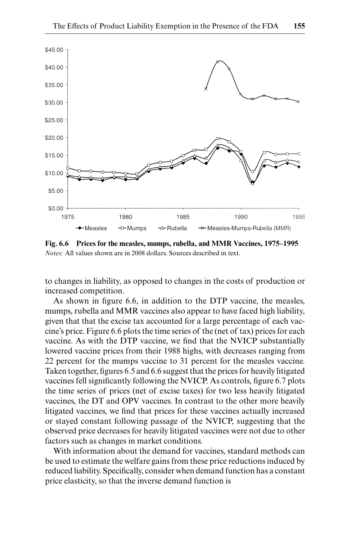

**Fig. 6.6 Prices for the measles, mumps, rubella, and MMR Vaccines, 1975– 1995** *Notes:* All values shown are in 2008 dollars. Sources described in text.

to changes in liability, as opposed to changes in the costs of production or increased competition.

As shown in figure 6.6, in addition to the DTP vaccine, the measles, mumps, rubella and MMR vaccines also appear to have faced high liability, given that that the excise tax accounted for a large percentage of each vaccine's price. Figure 6.6 plots the time series of the (net of tax) prices for each vaccine. As with the DTP vaccine, we find that the NVICP substantially lowered vaccine prices from their 1988 highs, with decreases ranging from 22 percent for the mumps vaccine to 31 percent for the measles vaccine. Taken together, figures 6.5 and 6.6 suggest that the prices for heavily litigated vaccines fell significantly following the NVICP. As controls, figure 6.7 plots the time series of prices (net of excise taxes) for two less heavily litigated vaccines, the DT and OPV vaccines. In contrast to the other more heavily litigated vaccines, we find that prices for these vaccines actually increased or stayed constant following passage of the NVICP, suggesting that the observed price decreases for heavily litigated vaccines were not due to other factors such as changes in market conditions.

With information about the demand for vaccines, standard methods can be used to estimate the welfare gains from these price reductions induced by reduced liability. Specifically, consider when demand function has a constant price elasticity, so that the inverse demand function is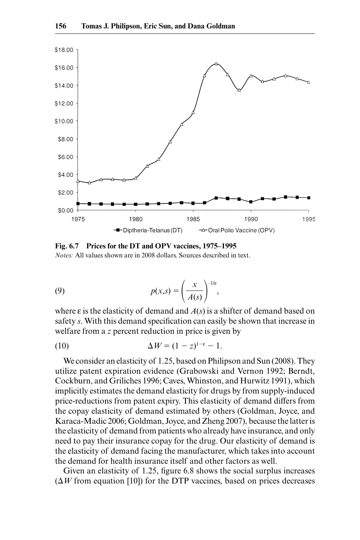

Fig. 6.7 Prices for the DT and OPV vaccines, 1975–1995 *Notes:* All values shown are in 2008 dollars. Sources described in text.

(9) 
$$
p(x,s) = \left(\frac{x}{A(s)}\right)^{-1/\varepsilon},
$$

where  $\varepsilon$  is the elasticity of demand and  $A(s)$  is a shifter of demand based on safety *s*. With this demand specification can easily be shown that increase in welfare from a *z* percent reduction in price is given by

(10) 
$$
\Delta W = (1 - z)^{1 - \epsilon} - 1.
$$

We consider an elasticity of 1.25, based on Philipson and Sun (2008). They utilize patent expiration evidence (Grabowski and Vernon 1992; Berndt, Cockburn, and Griliches 1996; Caves, Whinston, and Hurwitz 1991), which implicitly estimates the demand elasticity for drugs by from supply- induced price- reductions from patent expiry. This elasticity of demand differs from the copay elasticity of demand estimated by others (Goldman, Joyce, and Karaca- Madic 2006; Goldman, Joyce, and Zheng 2007), because the latter is the elasticity of demand from patients who already have insurance, and only need to pay their insurance copay for the drug. Our elasticity of demand is the elasticity of demand facing the manufacturer, which takes into account the demand for health insurance itself and other factors as well.

Given an elasticity of 1.25, figure 6.8 shows the social surplus increases  $(\Delta W$  from equation [10]) for the DTP vaccines, based on prices decreases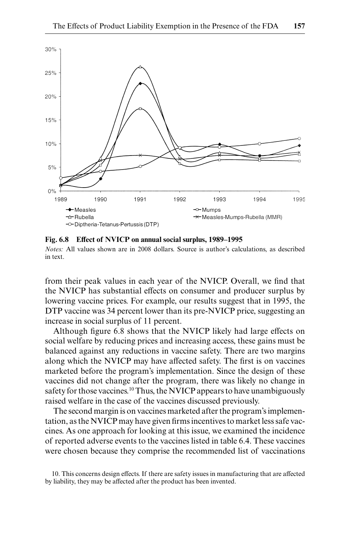

**Fig. 6.8 Effect of NVICP on annual social surplus, 1989– 1995** *Notes:* All values shown are in 2008 dollars. Source is author's calculations, as described in text.

from their peak values in each year of the NVICP. Overall, we find that the NVICP has substantial effects on consumer and producer surplus by lowering vaccine prices. For example, our results suggest that in 1995, the DTP vaccine was 34 percent lower than its pre- NVICP price, suggesting an increase in social surplus of 11 percent.

Although figure 6.8 shows that the NVICP likely had large effects on social welfare by reducing prices and increasing access, these gains must be balanced against any reductions in vaccine safety. There are two margins along which the NVICP may have affected safety. The first is on vaccines marketed before the program's implementation. Since the design of these vaccines did not change after the program, there was likely no change in safety for those vaccines.<sup>10</sup> Thus, the NVICP appears to have unambiguously raised welfare in the case of the vaccines discussed previously.

The second margin is on vaccines marketed after the program's implementation, as the NVICP may have given firms incentives to market less safe vaccines. As one approach for looking at this issue, we examined the incidence of reported adverse events to the vaccines listed in table 6.4. These vaccines were chosen because they comprise the recommended list of vaccinations

10. This concerns design effects. If there are safety issues in manufacturing that are affected by liability, they may be affected after the product has been invented.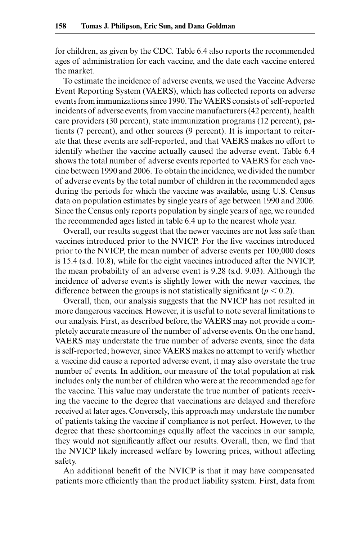for children, as given by the CDC. Table 6.4 also reports the recommended ages of administration for each vaccine, and the date each vaccine entered the market.

To estimate the incidence of adverse events, we used the Vaccine Adverse Event Reporting System (VAERS), which has collected reports on adverse events from immunizations since 1990. The VAERS consists of self- reported incidents of adverse events, from vaccine manufacturers (42 percent), health care providers (30 percent), state immunization programs (12 percent), patients (7 percent), and other sources (9 percent). It is important to reiterate that these events are self- reported, and that VAERS makes no effort to identify whether the vaccine actually caused the adverse event. Table 6.4 shows the total number of adverse events reported to VAERS for each vaccine between 1990 and 2006. To obtain the incidence, we divided the number of adverse events by the total number of children in the recommended ages during the periods for which the vaccine was available, using U.S. Census data on population estimates by single years of age between 1990 and 2006. Since the Census only reports population by single years of age, we rounded the recommended ages listed in table 6.4 up to the nearest whole year.

Overall, our results suggest that the newer vaccines are not less safe than vaccines introduced prior to the NVICP. For the five vaccines introduced prior to the NVICP, the mean number of adverse events per 100,000 doses is 15.4 (s.d. 10.8), while for the eight vaccines introduced after the NVICP, the mean probability of an adverse event is 9.28 (s.d. 9.03). Although the incidence of adverse events is slightly lower with the newer vaccines, the difference between the groups is not statistically significant ( $p < 0.2$ ).

Overall, then, our analysis suggests that the NVICP has not resulted in more dangerous vaccines. However, it is useful to note several limitations to our analysis. First, as described before, the VAERS may not provide a completely accurate measure of the number of adverse events. On the one hand, VAERS may understate the true number of adverse events, since the data is self- reported; however, since VAERS makes no attempt to verify whether a vaccine did cause a reported adverse event, it may also overstate the true number of events. In addition, our measure of the total population at risk includes only the number of children who were at the recommended age for the vaccine. This value may understate the true number of patients receiving the vaccine to the degree that vaccinations are delayed and therefore received at later ages. Conversely, this approach may understate the number of patients taking the vaccine if compliance is not perfect. However, to the degree that these shortcomings equally affect the vaccines in our sample, they would not significantly affect our results. Overall, then, we find that the NVICP likely increased welfare by lowering prices, without affecting safety.

An additional benefit of the NVICP is that it may have compensated patients more efficiently than the product liability system. First, data from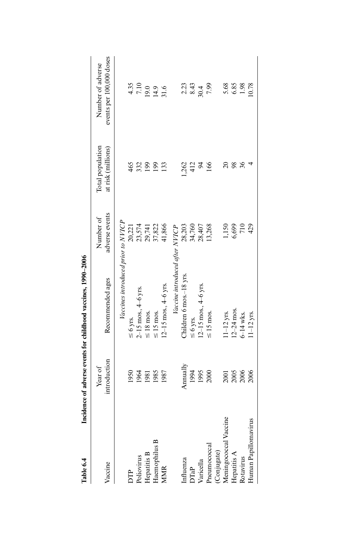| Table 6.4             |                         | Incidence of adverse events for childhood vaccines, 1990-2006 |                             |                                        |                                               |
|-----------------------|-------------------------|---------------------------------------------------------------|-----------------------------|----------------------------------------|-----------------------------------------------|
| Vaccine               | introduction<br>Year of | Recommended ages                                              | adverse events<br>Number of | Total population<br>at risk (millions) | events per 100,000 doses<br>Number of adverse |
|                       |                         | Vaccines introduced prior to NVICP                            |                             |                                        |                                               |
| DTP                   | 1950                    | $\leq 6$ yrs.                                                 | 20,221                      | 465                                    | 4.35                                          |
| Poliovirus            | 1964                    | $2-15$ mos., $4-6$ yrs.                                       | 23,574                      | 332                                    | 7.10                                          |
| Hepatitis B           | 1981                    | $\leq 18$ mos.                                                | 29,741                      | 199                                    | 19.0                                          |
| Haemophilus B         | 1985                    | $\leq 15$ mos.                                                | 37,822                      | 199                                    |                                               |
| <b>MMR</b>            | 1987                    | $12-15$ mos., $4-6$ yrs.                                      | 41,866                      | 133                                    | $14.9$<br>31.6                                |
|                       |                         | Vaccine introduced after NVICP                                |                             |                                        |                                               |
| Influenza             | Annually                | Children 6 mos.-18 yrs.                                       | 28,203                      | ,262                                   | 2.23                                          |
| DTaP                  | 1994                    | $\leq 6$ yrs.                                                 | 34,760                      | 412                                    | 8.43                                          |
| Varicella             | 1995                    | $12-15$ mos., $4-6$ yrs.                                      | 28,407                      | र्द                                    | 30.4                                          |
| Pneumococca           | 2000                    | $\leq 15$ mos.                                                | 13,268                      | 166                                    | 7.99                                          |
| (Conjugate)           |                         |                                                               |                             |                                        |                                               |
| Meningococcal Vaccine | 2001                    | $1 - 12$ yrs.                                                 | ,150                        |                                        | 5.68                                          |
| Hepatitis A           | 2005                    | $12 - 24$ mos.                                                | 6,699                       | $\overline{6}$                         | 6.85                                          |
| Rotavirus             | 2006                    | $6-14$ wks.                                                   | 710                         | 36                                     | 1.98                                          |
| Human Papillomavirus  | 2006                    | $1 - 12$ yrs.                                                 | 429                         |                                        | 10.78                                         |
|                       |                         |                                                               |                             |                                        |                                               |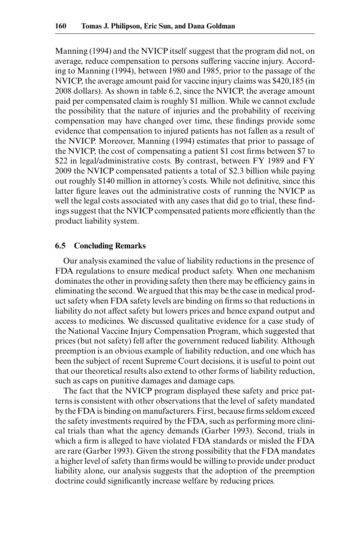Manning (1994) and the NVICP itself suggest that the program did not, on average, reduce compensation to persons suffering vaccine injury. According to Manning (1994), between 1980 and 1985, prior to the passage of the NVICP, the average amount paid for vaccine injury claims was \$420,185 (in 2008 dollars). As shown in table 6.2, since the NVICP, the average amount paid per compensated claim is roughly \$1 million. While we cannot exclude the possibility that the nature of injuries and the probability of receiving compensation may have changed over time, these findings provide some evidence that compensation to injured patients has not fallen as a result of the NVICP. Moreover, Manning (1994) estimates that prior to passage of the NVICP, the cost of compensating a patient \$1 cost firms between \$7 to \$22 in legal/administrative costs. By contrast, between FY 1989 and FY 2009 the NVICP compensated patients a total of \$2.3 billion while paying out roughly \$140 million in attorney's costs. While not definitive, since this latter figure leaves out the administrative costs of running the NVICP as well the legal costs associated with any cases that did go to trial, these findings suggest that the NVICP compensated patients more efficiently than the product liability system.

#### **6.5 Concluding Remarks**

Our analysis examined the value of liability reductions in the presence of FDA regulations to ensure medical product safety. When one mechanism dominates the other in providing safety then there may be efficiency gains in eliminating the second. We argued that this may be the case in medical product safety when FDA safety levels are binding on firms so that reductions in liability do not affect safety but lowers prices and hence expand output and access to medicines. We discussed qualitative evidence for a case study of the National Vaccine Injury Compensation Program, which suggested that prices (but not safety) fell after the government reduced liability. Although preemption is an obvious example of liability reduction, and one which has been the subject of recent Supreme Court decisions, it is useful to point out that our theoretical results also extend to other forms of liability reduction, such as caps on punitive damages and damage caps.

The fact that the NVICP program displayed these safety and price patterns is consistent with other observations that the level of safety mandated by the FDA is binding on manufacturers. First, because firms seldom exceed the safety investments required by the FDA, such as performing more clinical trials than what the agency demands (Garber 1993). Second, trials in which a firm is alleged to have violated FDA standards or misled the FDA are rare (Garber 1993). Given the strong possibility that the FDA mandates a higher level of safety than firms would be willing to provide under product liability alone, our analysis suggests that the adoption of the preemption doctrine could significantly increase welfare by reducing prices.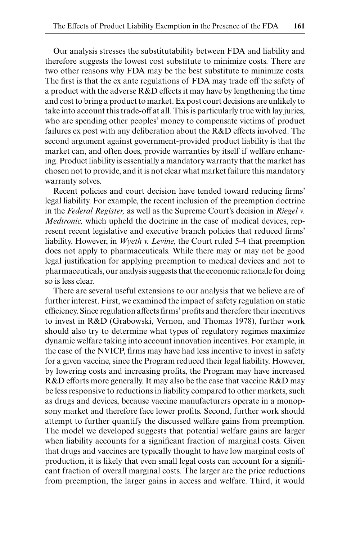Our analysis stresses the substitutability between FDA and liability and therefore suggests the lowest cost substitute to minimize costs. There are two other reasons why FDA may be the best substitute to minimize costs. The first is that the ex ante regulations of FDA may trade off the safety of a product with the adverse R&D effects it may have by lengthening the time and cost to bring a product to market. Ex post court decisions are unlikely to take into account this trade- off at all. This is particularly true with lay juries, who are spending other peoples' money to compensate victims of product failures ex post with any deliberation about the R&D effects involved. The second argument against government- provided product liability is that the market can, and often does, provide warranties by itself if welfare enhancing. Product liability is essentially a mandatory warranty that the market has chosen not to provide, and it is not clear what market failure this mandatory warranty solves.

Recent policies and court decision have tended toward reducing firms' legal liability. For example, the recent inclusion of the preemption doctrine in the *Federal Register,* as well as the Supreme Court's decision in *Riegel v. Medtronic,* which upheld the doctrine in the case of medical devices, represent recent legislative and executive branch policies that reduced firms' liability. However, in *Wyeth v. Levine*, the Court ruled 5-4 that preemption does not apply to pharmaceuticals. While there may or may not be good legal justification for applying preemption to medical devices and not to pharmaceuticals, our analysis suggests that the economic rationale for doing so is less clear.

There are several useful extensions to our analysis that we believe are of further interest. First, we examined the impact of safety regulation on static efficiency. Since regulation affects firms' profits and therefore their incentives to invest in R&D (Grabowski, Vernon, and Thomas 1978), further work should also try to determine what types of regulatory regimes maximize dynamic welfare taking into account innovation incentives. For example, in the case of the NVICP, firms may have had less incentive to invest in safety for a given vaccine, since the Program reduced their legal liability. However, by lowering costs and increasing profits, the Program may have increased  $R&D$  efforts more generally. It may also be the case that vaccine  $R&D$  may be less responsive to reductions in liability compared to other markets, such as drugs and devices, because vaccine manufacturers operate in a monopsony market and therefore face lower profits. Second, further work should attempt to further quantify the discussed welfare gains from preemption. The model we developed suggests that potential welfare gains are larger when liability accounts for a significant fraction of marginal costs. Given that drugs and vaccines are typically thought to have low marginal costs of production, it is likely that even small legal costs can account for a significant fraction of overall marginal costs. The larger are the price reductions from preemption, the larger gains in access and welfare. Third, it would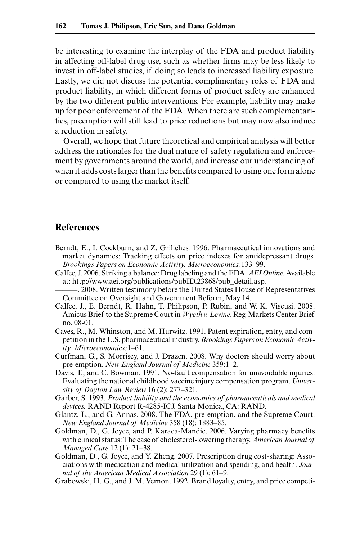be interesting to examine the interplay of the FDA and product liability in affecting off-label drug use, such as whether firms may be less likely to invest in off-label studies, if doing so leads to increased liability exposure. Lastly, we did not discuss the potential complimentary roles of FDA and product liability, in which different forms of product safety are enhanced by the two different public interventions. For example, liability may make up for poor enforcement of the FDA. When there are such complementarities, preemption will still lead to price reductions but may now also induce a reduction in safety.

Overall, we hope that future theoretical and empirical analysis will better address the rationales for the dual nature of safety regulation and enforcement by governments around the world, and increase our understanding of when it adds costs larger than the benefits compared to using one form alone or compared to using the market itself.

## **References**

- Berndt, E., I. Cockburn, and Z. Griliches. 1996. Pharmaceutical innovations and market dynamics: Tracking effects on price indexes for antidepressant drugs. Brookings Papers on Economic Activity, Microeconomics: 133-99.
- Calfee, J. 2006. Striking a balance: Drug labeling and the FDA. *AEI Online.* Available at: http://www.aei.org/publications/pubID.23868/pub\_detail.asp.
- ———. 2008. Written testimony before the United States House of Representatives Committee on Oversight and Government Reform, May 14.
- Calfee, J., E. Berndt, R. Hahn, T. Philipson, P. Rubin, and W. K. Viscusi. 2008. Amicus Brief to the Supreme Court in *Wyeth v. Levine*. Reg-Markets Center Brief no. 08-01.
- Caves, R., M. Whinston, and M. Hurwitz. 1991. Patent expiration, entry, and competition in the U.S. pharmaceutical industry. *Brookings Papers on Economic Activity, Microeconomics:* 1–61.
- Curfman, G., S. Morrisey, and J. Drazen. 2008. Why doctors should worry about pre-emption. *New England Journal of Medicine* 359:1–2.
- Davis, T., and C. Bowman. 1991. No-fault compensation for unavoidable injuries: Evaluating the national childhood vaccine injury compensation program. *University of Dayton Law Review* 16 (2): 277– 321.
- Garber, S. 1993. *Product liability and the economics of pharmaceuticals and medical*  devices. RAND Report R-4285-ICJ. Santa Monica, CA: RAND.
- Glantz, L., and G. Annas. 2008. The FDA, pre- emption, and the Supreme Court. *New England Journal of Medicine* 358 (18): 1883-85.
- Goldman, D., G. Joyce, and P. Karaca-Mandic. 2006. Varying pharmacy benefits with clinical status: The case of cholesterol- lowering therapy. *American Journal of Managed Care* 12(1): 21–38.
- Goldman, D., G. Joyce, and Y. Zheng. 2007. Prescription drug cost- sharing: Associations with medication and medical utilization and spending, and health. *Journal of the American Medical Association* 29 (1): 61–9.
- Grabowski, H. G., and J. M. Vernon. 1992. Brand loyalty, entry, and price competi-